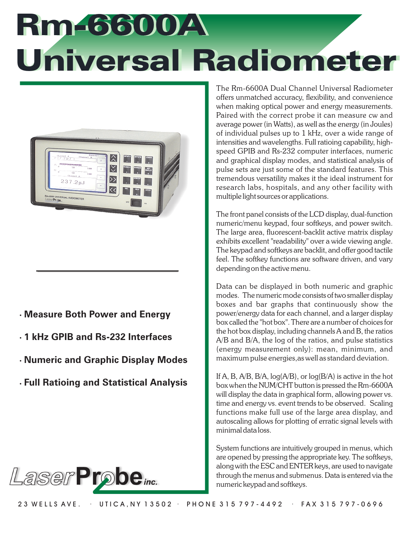# Rm-6600A Rm-6600A Universal Radiometer Universal Radiometer



- ֦֘ **Measure Both Power and Energy**
- $\ddot{\phantom{0}}$ **1 kHz GPIB and Rs-232 Interfaces**
- ֦֘ **Numeric and Graphic Display Modes**
- $\ddot{\phantom{0}}$ **Full Ratioing and Statistical Analysis**



The Rm-6600A Dual Channel Universal Radiometer offers unmatched accuracy, flexibility, and convenience when making optical power and energy measurements. Paired with the correct probe it can measure cw and average power (in Watts), as well as the energy (in Joules) of individual pulses up to 1 kHz, over a wide range of intensities and wavelengths. Full ratioing capability, highspeed GPIB and Rs-232 computer interfaces, numeric and graphical display modes, and statistical analysis of pulse sets are just some of the standard features. This tremendous versatility makes it the ideal instrument for research labs, hospitals, and any other facility with multiple light sources or applications.

The front panel consists of the LCD display, dual-function numeric/menu keypad, four softkeys, and power switch. The large area, fluorescent-backlit active matrix display exhibits excellent "readability" over a wide viewing angle. The keypad and softkeys are backlit, and offer good tactile feel. The softkey functions are software driven, and vary depending on the active menu.

Data can be displayed in both numeric and graphic modes. The numeric mode consists of two smaller display boxes and bar graphs that continuously show the power/energy data for each channel, and a larger display box called the "hot box". There are a number of choices for the hot box display, including channels A and B, the ratios A/B and B/A, the log of the ratios, and pulse statistics (energy measurement only): mean, minimum, and maximum pulse energies,as well as standard deviation.

If A, B, A/B, B/A,  $log(A/B)$ , or  $log(B/A)$  is active in the hot box when the NUM/CHT button is pressed the Rm-6600A will display the data in graphical form, allowing power vs. time and energy vs. event trends to be observed. Scaling functions make full use of the large area display, and autoscaling allows for plotting of erratic signal levels with minimal data loss.

System functions are intuitively grouped in menus, which are opened by pressing the appropriate key. The softkeys, along with the ESC and ENTER keys, are used to navigate through the menus and submenus. Data is entered via the numeric keypad and softkeys.